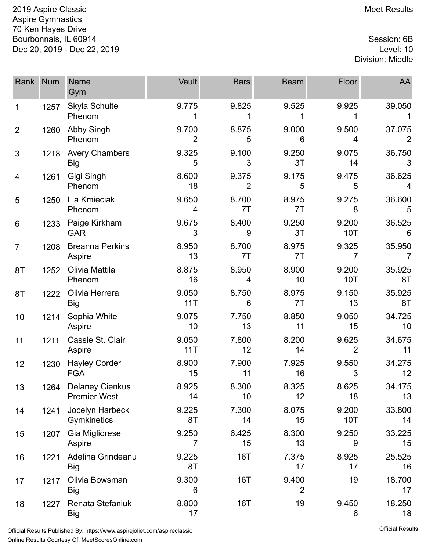2019 Aspire Classic **Meet Results** 2019 Aspire Classic Aspire Gymnastics 70 Ken Hayes Drive Bourbonnais, IL 60914 Session: 6B Dec 20, 2019 - Dec 22, 2019 Level: 10

## Division: Middle

| Rank           | <b>Num</b> | <b>Name</b><br>Gym                            | Vault                   | <b>Bars</b>             | <b>Beam</b>             | Floor                   | AA                       |
|----------------|------------|-----------------------------------------------|-------------------------|-------------------------|-------------------------|-------------------------|--------------------------|
| 1              | 1257       | Skyla Schulte<br>Phenom                       | 9.775                   | 9.825                   | 9.525                   | 9.925                   | 39.050<br>1              |
| $\overline{2}$ | 1260       | Abby Singh<br>Phenom                          | 9.700<br>$\overline{2}$ | 8.875<br>5              | 9.000<br>6              | 9.500<br>4              | 37.075<br>$\overline{2}$ |
| 3              | 1218       | <b>Avery Chambers</b><br><b>Big</b>           | 9.325<br>5              | 9.100<br>3              | 9.250<br>3T             | 9.075<br>14             | 36.750<br>3              |
| 4              | 1261       | Gigi Singh<br>Phenom                          | 8.600<br>18             | 9.375<br>$\overline{2}$ | 9.175<br>5              | 9.475<br>5              | 36.625<br>4              |
| 5              | 1250       | Lia Kmieciak<br>Phenom                        | 9.650<br>4              | 8.700<br>7T             | 8.975<br>7T             | 9.275<br>8              | 36.600<br>5              |
| 6              | 1233       | Paige Kirkham<br><b>GAR</b>                   | 9.675<br>3              | 8.400<br>9              | 9.250<br>3T             | 9.200<br>10T            | 36.525<br>6              |
| $\overline{7}$ | 1208       | <b>Breanna Perkins</b><br>Aspire              | 8.950<br>13             | 8.700<br>7T             | 8.975<br>7T             | 9.325<br>7              | 35.950<br>7              |
| 8T             | 1252       | Olivia Mattila<br>Phenom                      | 8.875<br>16             | 8.950<br>4              | 8.900<br>10             | 9.200<br>10T            | 35.925<br>8T             |
| 8T             | 1222       | Olivia Herrera<br><b>Big</b>                  | 9.050<br>11T            | 8.750<br>6              | 8.975<br>7T             | 9.150<br>13             | 35.925<br>8T             |
| 10             | 1214       | Sophia White<br>Aspire                        | 9.075<br>10             | 7.750<br>13             | 8.850<br>11             | 9.050<br>15             | 34.725<br>10             |
| 11             | 1211       | Cassie St. Clair<br>Aspire                    | 9.050<br>11T            | 7.800<br>12             | 8.200<br>14             | 9.625<br>$\overline{2}$ | 34.675<br>11             |
| 12             | 1230       | <b>Hayley Corder</b><br><b>FGA</b>            | 8.900<br>15             | 7.900<br>11             | 7.925<br>16             | 9.550<br>3              | 34.275<br>12             |
| 13             | 1264       | <b>Delaney Cienkus</b><br><b>Premier West</b> | 8.925<br>14             | 8.300<br>10             | 8.325<br>12             | 8.625<br>18             | 34.175<br>13             |
| 14             | 1241       | Jocelyn Harbeck<br>Gymkinetics                | 9.225<br>8T             | 7.300<br>14             | 8.075<br>15             | 9.200<br>10T            | 33.800<br>14             |
| 15             | 1207       | Gia Migliorese<br>Aspire                      | 9.250<br>7              | 6.425<br>15             | 8.300<br>13             | 9.250<br>9              | 33.225<br>15             |
| 16             | 1221       | Adelina Grindeanu<br><b>Big</b>               | 9.225<br>8T             | <b>16T</b>              | 7.375<br>17             | 8.925<br>17             | 25.525<br>16             |
| 17             | 1217       | Olivia Bowsman<br><b>Big</b>                  | 9.300<br>6              | 16T                     | 9.400<br>$\overline{2}$ | 19                      | 18.700<br>17             |
| 18             | 1227       | Renata Stefaniuk<br>Big                       | 8.800<br>17             | <b>16T</b>              | 19                      | 9.450<br>6              | 18.250<br>18             |

Official Results Published By: [https://www.aspirejoliet.com/aspireclassic](http://https://www.aspirejoliet.com/aspireclassic) Online Results Courtesy Of: [MeetScoresOnline.com](http://www.meetscoresonline.com)